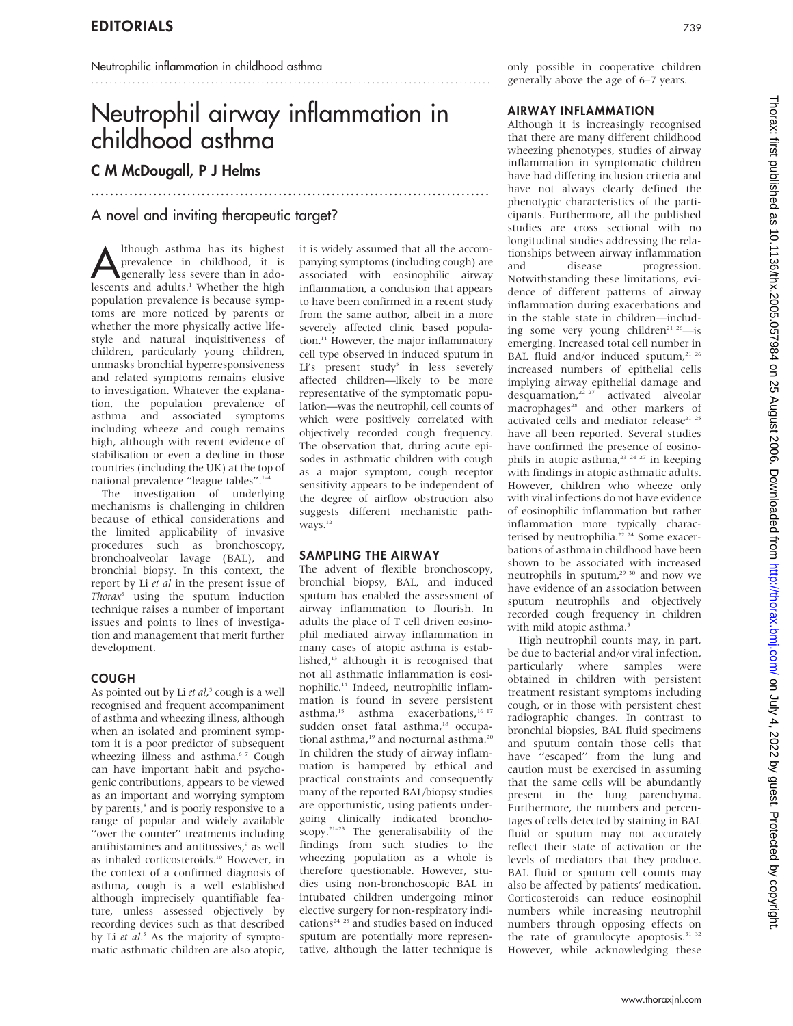# Neutrophil airway inflammation in childhood asthma

.......................................................................................

...................................................................................

# C M McDougall, P J Helms

# A novel and inviting therapeutic target?

Although asthma has its highest<br>
generally less severe than in ado-<br>
lessents and adults<sup>1</sup> Whather the high prevalence in childhood, it is lescents and adults.<sup>1</sup> Whether the high population prevalence is because symptoms are more noticed by parents or whether the more physically active lifestyle and natural inquisitiveness of children, particularly young children, unmasks bronchial hyperresponsiveness and related symptoms remains elusive to investigation. Whatever the explanation, the population prevalence of asthma and associated symptoms including wheeze and cough remains high, although with recent evidence of stabilisation or even a decline in those countries (including the UK) at the top of national prevalence "league tables".<sup>1-4</sup>

The investigation of underlying mechanisms is challenging in children because of ethical considerations and the limited applicability of invasive procedures such as bronchoscopy, bronchoalveolar lavage (BAL), and bronchial biopsy. In this context, the report by Li et al in the present issue of Thorax<sup>5</sup> using the sputum induction technique raises a number of important issues and points to lines of investigation and management that merit further development.

## COUGH

As pointed out by Li et al,<sup>5</sup> cough is a well recognised and frequent accompaniment of asthma and wheezing illness, although when an isolated and prominent symptom it is a poor predictor of subsequent wheezing illness and asthma.<sup>67</sup> Cough can have important habit and psychogenic contributions, appears to be viewed as an important and worrying symptom by parents,<sup>8</sup> and is poorly responsive to a range of popular and widely available "over the counter" treatments including antihistamines and antitussives<sup>9</sup> as well as inhaled corticosteroids.10 However, in the context of a confirmed diagnosis of asthma, cough is a well established although imprecisely quantifiable feature, unless assessed objectively by recording devices such as that described by Li et al.<sup>5</sup> As the majority of symptomatic asthmatic children are also atopic, it is widely assumed that all the accompanying symptoms (including cough) are associated with eosinophilic airway inflammation, a conclusion that appears to have been confirmed in a recent study from the same author, albeit in a more severely affected clinic based population.<sup>11</sup> However, the major inflammatory cell type observed in induced sputum in Li's present study<sup>5</sup> in less severely affected children—likely to be more representative of the symptomatic population—was the neutrophil, cell counts of which were positively correlated with objectively recorded cough frequency. The observation that, during acute episodes in asthmatic children with cough as a major symptom, cough receptor sensitivity appears to be independent of the degree of airflow obstruction also suggests different mechanistic pathways.12

## SAMPLING THE AIRWAY

The advent of flexible bronchoscopy, bronchial biopsy, BAL, and induced sputum has enabled the assessment of airway inflammation to flourish. In adults the place of T cell driven eosinophil mediated airway inflammation in many cases of atopic asthma is established,13 although it is recognised that not all asthmatic inflammation is eosinophilic.14 Indeed, neutrophilic inflammation is found in severe persistent asthma,<sup>15</sup> asthma exacerbations,<sup>16 17</sup> sudden onset fatal asthma,<sup>18</sup> occupational asthma,<sup>19</sup> and nocturnal asthma.<sup>21</sup> In children the study of airway inflammation is hampered by ethical and practical constraints and consequently many of the reported BAL/biopsy studies are opportunistic, using patients undergoing clinically indicated bronchoscopy.21–23 The generalisability of the findings from such studies to the wheezing population as a whole is therefore questionable. However, studies using non-bronchoscopic BAL in intubated children undergoing minor elective surgery for non-respiratory indications<sup>24</sup> <sup>25</sup> and studies based on induced sputum are potentially more representative, although the latter technique is

only possible in cooperative children generally above the age of 6–7 years.

## AIRWAY INFLAMMATION

Although it is increasingly recognised that there are many different childhood wheezing phenotypes, studies of airway inflammation in symptomatic children have had differing inclusion criteria and have not always clearly defined the phenotypic characteristics of the participants. Furthermore, all the published studies are cross sectional with no longitudinal studies addressing the relationships between airway inflammation and disease progression. Notwithstanding these limitations, evidence of different patterns of airway inflammation during exacerbations and in the stable state in children—including some very young children<sup>21 26</sup>—is emerging. Increased total cell number in BAL fluid and/or induced sputum,<sup>21 26</sup> increased numbers of epithelial cells implying airway epithelial damage and desquamation,<sup>22</sup> <sup>27</sup> activated alveolar macrophages<sup>28</sup> and other markers of activated cells and mediator release<sup>21</sup> <sup>25</sup> have all been reported. Several studies have confirmed the presence of eosinophils in atopic asthma,<sup>23</sup> <sup>24</sup> <sup>27</sup> in keeping with findings in atopic asthmatic adults. However, children who wheeze only with viral infections do not have evidence of eosinophilic inflammation but rather inflammation more typically characterised by neutrophilia.<sup>22</sup> <sup>24</sup> Some exacerbations of asthma in childhood have been shown to be associated with increased neutrophils in sputum,<sup>29 30</sup> and now we have evidence of an association between sputum neutrophils and objectively recorded cough frequency in children with mild atopic asthma.<sup>5</sup>

High neutrophil counts may, in part, be due to bacterial and/or viral infection, particularly where samples were obtained in children with persistent treatment resistant symptoms including cough, or in those with persistent chest radiographic changes. In contrast to bronchial biopsies, BAL fluid specimens and sputum contain those cells that have "escaped" from the lung and caution must be exercised in assuming that the same cells will be abundantly present in the lung parenchyma. Furthermore, the numbers and percentages of cells detected by staining in BAL fluid or sputum may not accurately reflect their state of activation or the levels of mediators that they produce. BAL fluid or sputum cell counts may also be affected by patients' medication. Corticosteroids can reduce eosinophil numbers while increasing neutrophil numbers through opposing effects on the rate of granulocyte apoptosis. $31, 32$ However, while acknowledging these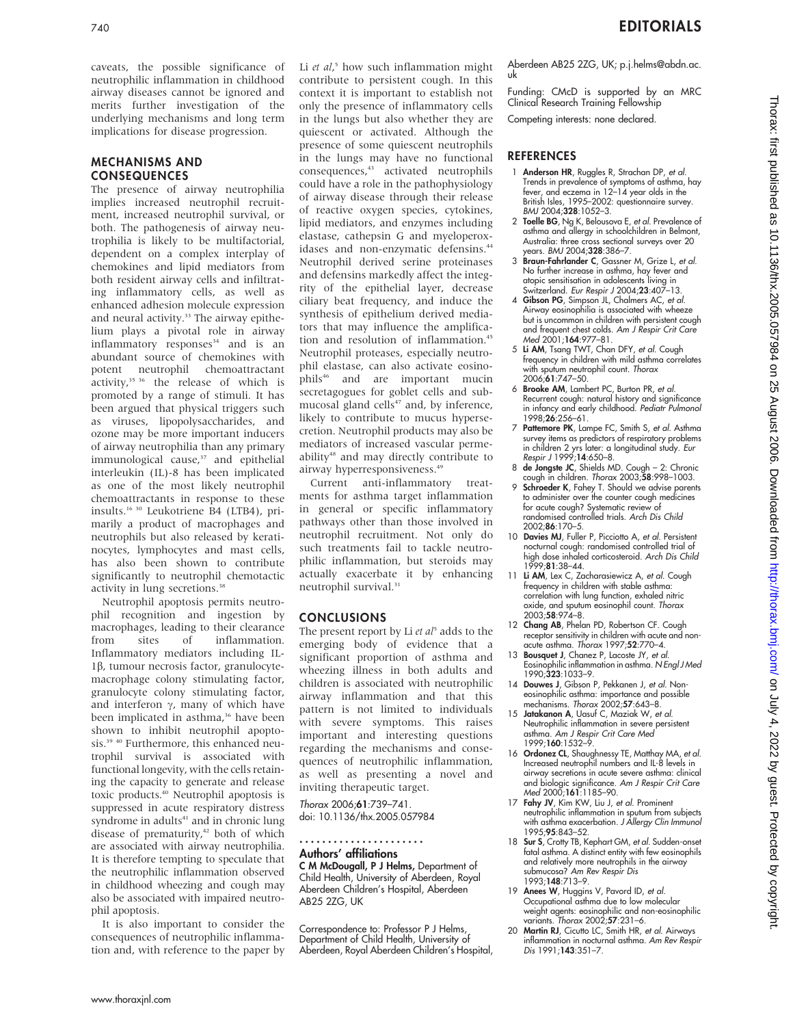### MECHANISMS AND **CONSEQUENCES**

The presence of airway neutrophilia implies increased neutrophil recruitment, increased neutrophil survival, or both. The pathogenesis of airway neutrophilia is likely to be multifactorial, dependent on a complex interplay of chemokines and lipid mediators from both resident airway cells and infiltrating inflammatory cells, as well as enhanced adhesion molecule expression and neural activity.<sup>33</sup> The airway epithelium plays a pivotal role in airway  $inflammatory$  responses $34$  and is an abundant source of chemokines with potent neutrophil chemoattractant  $\arctivity$ <sup>35 36</sup> the release of which is promoted by a range of stimuli. It has been argued that physical triggers such as viruses, lipopolysaccharides, and ozone may be more important inducers of airway neutrophilia than any primary immunological cause,<sup>37</sup> and epithelial interleukin (IL)-8 has been implicated as one of the most likely neutrophil chemoattractants in response to these insults.16 30 Leukotriene B4 (LTB4), primarily a product of macrophages and neutrophils but also released by keratinocytes, lymphocytes and mast cells, has also been shown to contribute significantly to neutrophil chemotactic activity in lung secretions.<sup>38</sup>

Neutrophil apoptosis permits neutrophil recognition and ingestion by macrophages, leading to their clearance<br>from sites of inflammation. from sites of inflammation. Inflammatory mediators including IL-1b, tumour necrosis factor, granulocytemacrophage colony stimulating factor, granulocyte colony stimulating factor, and interferon  $\gamma$ , many of which have been implicated in asthma,<sup>36</sup> have been shown to inhibit neutrophil apoptosis.<sup>39 40</sup> Furthermore, this enhanced neutrophil survival is associated with functional longevity, with the cells retaining the capacity to generate and release toxic products.40 Neutrophil apoptosis is suppressed in acute respiratory distress syndrome in adults<sup>41</sup> and in chronic lung disease of prematurity,<sup>42</sup> both of which are associated with airway neutrophilia. It is therefore tempting to speculate that the neutrophilic inflammation observed in childhood wheezing and cough may also be associated with impaired neutrophil apoptosis.

It is also important to consider the consequences of neutrophilic inflammation and, with reference to the paper by

Li et al,<sup>5</sup> how such inflammation might contribute to persistent cough. In this context it is important to establish not only the presence of inflammatory cells in the lungs but also whether they are quiescent or activated. Although the presence of some quiescent neutrophils in the lungs may have no functional consequences,<sup>43</sup> activated neutrophils could have a role in the pathophysiology of airway disease through their release of reactive oxygen species, cytokines, lipid mediators, and enzymes including elastase, cathepsin G and myeloperoxidases and non-enzymatic defensins.<sup>44</sup> Neutrophil derived serine proteinases and defensins markedly affect the integrity of the epithelial layer, decrease ciliary beat frequency, and induce the synthesis of epithelium derived mediators that may influence the amplification and resolution of inflammation.<sup>45</sup> Neutrophil proteases, especially neutrophil elastase, can also activate eosinophils<sup>46</sup> and are important mucin secretagogues for goblet cells and submucosal gland cells<sup>47</sup> and, by inference, likely to contribute to mucus hypersecretion. Neutrophil products may also be mediators of increased vascular permeability<sup>48</sup> and may directly contribute to airway hyperresponsiveness.49

Current anti-inflammatory treatments for asthma target inflammation in general or specific inflammatory pathways other than those involved in neutrophil recruitment. Not only do such treatments fail to tackle neutrophilic inflammation, but steroids may actually exacerbate it by enhancing neutrophil survival. $31$ 

## CONCLUSIONS

The present report by Li  $et$   $al<sup>5</sup>$  adds to the emerging body of evidence that a significant proportion of asthma and wheezing illness in both adults and children is associated with neutrophilic airway inflammation and that this pattern is not limited to individuals with severe symptoms. This raises important and interesting questions regarding the mechanisms and consequences of neutrophilic inflammation, as well as presenting a novel and inviting therapeutic target.

#### Thorax 2006;61:739–741. doi: 10.1136/thx.2005.057984

#### Authors' affiliations ......................

C M McDougall, P J Helms, Department of Child Health, University of Aberdeen, Royal Aberdeen Children's Hospital, Aberdeen AB25 2ZG, UK

Correspondence to: Professor P J Helms, Department of Child Health, University of Aberdeen, Royal Aberdeen Children's Hospital, Aberdeen AB25 2ZG, UK; p.j.helms@abdn.ac. uk

Funding: CMcD is supported by an MRC Clinical Research Training Fellowship

Competing interests: none declared.

## **REFERENCES**

- 1 Anderson HR, Ruggles R, Strachan DP, et al. Trends in prevalence of symptoms of asthma, hay fever, and eczema in 12–14 year olds in the British Isles, 1995–2002: questionnaire survey. BMJ 2004;328:1052–3.
- 2 Toelle BG, Ng K, Belousova E, et al. Prevalence of asthma and allergy in schoolchildren in Belmont, Australia: three cross sectional surveys over 20 years. BMJ 2004;328:386-7.
- 3 Braun-Fahrlander C, Gassner M, Grize L, et al. No further increase in asthma, hay fever and atopic sensitisation in adolescents living in Switzerland. Eur Respir J 2004;23:407-13.
- 4 Gibson PG, Simpson JL, Chalmers AC, et al. Airway eosinophilia is associated with wheeze but is uncommon in children with persistent cough and frequent chest colds. A*m J Respir Crit Care*<br>Med 2001;**164**:977–81.
- 5 Li AM, Tsang TWT, Chan DFY, et al. Cough frequency in children with mild asthma correlates with sputum neutrophil count. Thorax 2006;61:747–50.
- 6 Brooke AM, Lambert PC, Burton PR, et al. Recurrent cough: natural history and significance in infancy and early childhood. Pediatr Pulmonol 1998;26:256–61.
- 7 Pattemore PK, Lampe FC, Smith S, et al. Asthma survey items as predictors of respiratory problems in children 2 yrs later: a longitudinal study. *Eur*<br>*Respir J* 1999;**14**:650–8.
- 8 de Jongste JC, Shields MD. Cough 2: Chronic cough in children. Thorax 2003;58:998–1003.
- 9 Schroeder K, Fahey T. Should we advise parents to administer over the counter cough medicines for acute cough? Systematic review of randomised controlled trials. Arch Dis Child 2002;86:170–5.
- 10 Davies MJ, Fuller P, Picciotto A, et al. Persistent nocturnal cough: randomised controlled trial of high dose inhaled corticosteroid. Arch Dis Child 1999;81:38–44.
- 11 Li AM, Lex C, Zacharasiewicz A, et al. Cough frequency in children with stable asthma: correlation with lung function, exhaled nitric oxide, and sputum eosinophil count. Thorax 2003;58:974–8.
- 12 Chang AB, Phelan PD, Robertson CF. Cough receptor sensitivity in children with acute and nonacute asthma. Thorax 1997;52:770–4.
- 13 **Bousquet J**, Chanez P, Lacoste JY, et al. Eosinophilic inflammation in asthma. N Engl J Med 1990;323:1033–9.
- 14 Douwes J, Gibson P, Pekkanen J, et al. Noneosinophilic asthma: importance and possible mechanisms. Thorax 2002;57:643–8.
- 15 Jatakanon A, Uasuf C, Maziak W, et al. Neutrophilic inflammation in severe persistent asthma. Am J Respir Crit Care Med 1999;160:1532–9.
- 16 Ordonez CL, Shaughnessy TE, Matthay MA, et al. Increased neutrophil numbers and IL-8 levels in airway secretions in acute severe asthma: clinical and biologic significance. Am J Respir Crit Care Med 2000;**161**:1185–90.
- 17 Fahy JV, Kim KW, Liu J, et al. Prominent neutrophilic inflammation in sputum from subjects with asthma exacerbation. J Allergy Clin Immunol 1995;95:843–52.
- 18 Sur S, Crotty TB, Kephart GM, et al. Sudden-onset fatal asthma. A distinct entity with few eosinophils and relatively more neutrophils in the airway submucosa? Am Rev Respir Dis 1993;148:713–9.
- 19 Anees W, Huggins V, Pavord ID, et al. Occupational asthma due to low molecular weight agents: eosinophilic and non-eosinophilic<br>variants. *Thorax* 2002;**57**:231–6.
- 20 Martin RJ, Cicutto LC, Smith HR, et al. Airways inflammation in nocturnal asthma. Am Rev Respir Dis 1991;143:351–7.